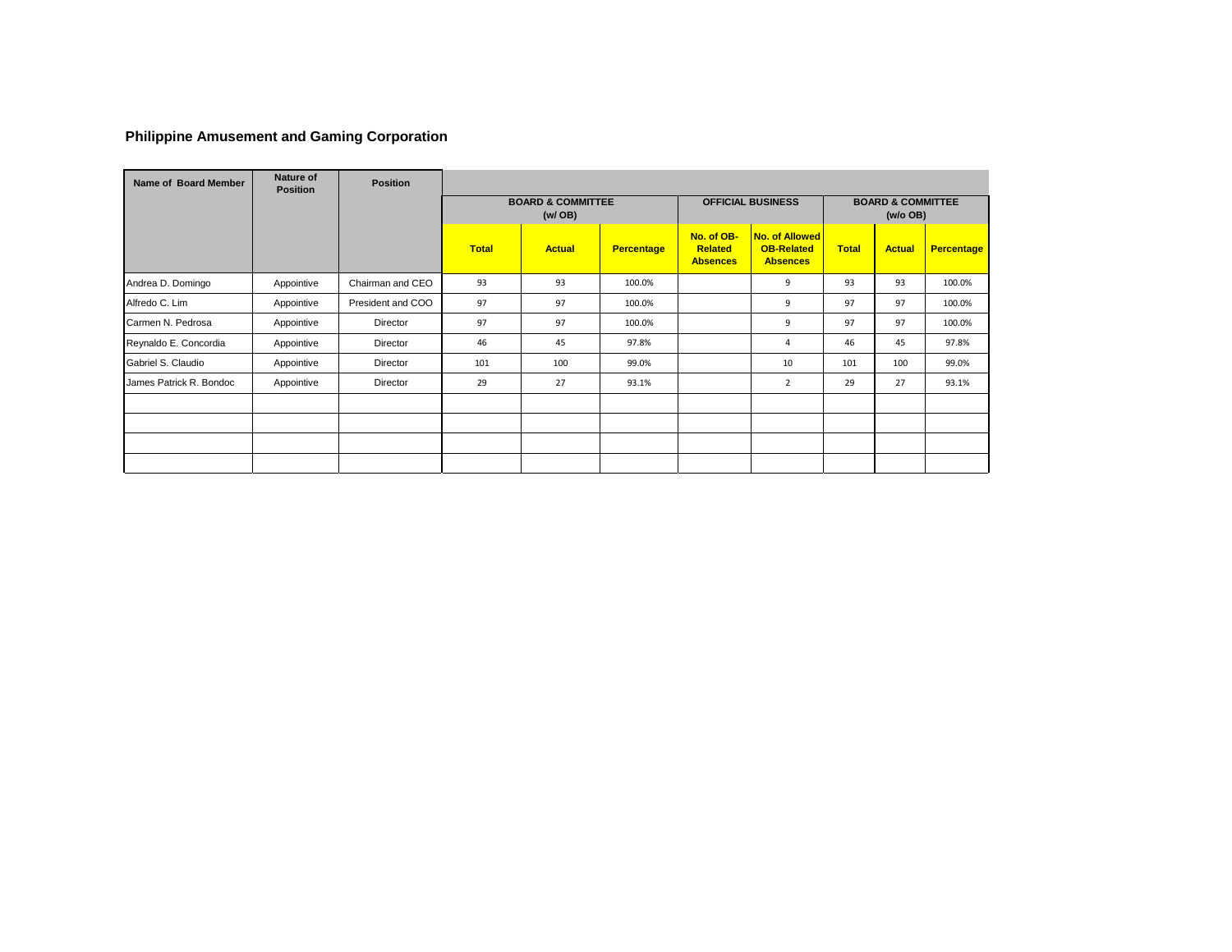# **Philippine Amusement and Gaming Corporation**

| Name of Board Member    | Nature of<br><b>Position</b> | <b>Position</b>   |              |                                          |                   |                                                 |                                                               |              |                                          |                   |
|-------------------------|------------------------------|-------------------|--------------|------------------------------------------|-------------------|-------------------------------------------------|---------------------------------------------------------------|--------------|------------------------------------------|-------------------|
|                         |                              |                   |              | <b>BOARD &amp; COMMITTEE</b><br>(w / OB) |                   |                                                 | <b>OFFICIAL BUSINESS</b>                                      |              | <b>BOARD &amp; COMMITTEE</b><br>(w/o OB) |                   |
|                         |                              |                   | <b>Total</b> | <b>Actual</b>                            | <b>Percentage</b> | No. of OB-<br><b>Related</b><br><b>Absences</b> | <b>No. of Allowed</b><br><b>OB-Related</b><br><b>Absences</b> | <b>Total</b> | <b>Actual</b>                            | <b>Percentage</b> |
| Andrea D. Domingo       | Appointive                   | Chairman and CEO  | 93           | 93                                       | 100.0%            |                                                 | 9                                                             | 93           | 93                                       | 100.0%            |
| Alfredo C. Lim          | Appointive                   | President and COO | 97           | 97                                       | 100.0%            |                                                 | 9                                                             | 97           | 97                                       | 100.0%            |
| Carmen N. Pedrosa       | Appointive                   | Director          | 97           | 97                                       | 100.0%            |                                                 | 9                                                             | 97           | 97                                       | 100.0%            |
| Reynaldo E. Concordia   | Appointive                   | Director          | 46           | 45                                       | 97.8%             |                                                 | $\overline{a}$                                                | 46           | 45                                       | 97.8%             |
| Gabriel S. Claudio      | Appointive                   | Director          | 101          | 100                                      | 99.0%             |                                                 | 10                                                            | 101          | 100                                      | 99.0%             |
| James Patrick R. Bondoc | Appointive                   | Director          | 29           | 27                                       | 93.1%             |                                                 | $\overline{2}$                                                | 29           | 27                                       | 93.1%             |
|                         |                              |                   |              |                                          |                   |                                                 |                                                               |              |                                          |                   |
|                         |                              |                   |              |                                          |                   |                                                 |                                                               |              |                                          |                   |
|                         |                              |                   |              |                                          |                   |                                                 |                                                               |              |                                          |                   |
|                         |                              |                   |              |                                          |                   |                                                 |                                                               |              |                                          |                   |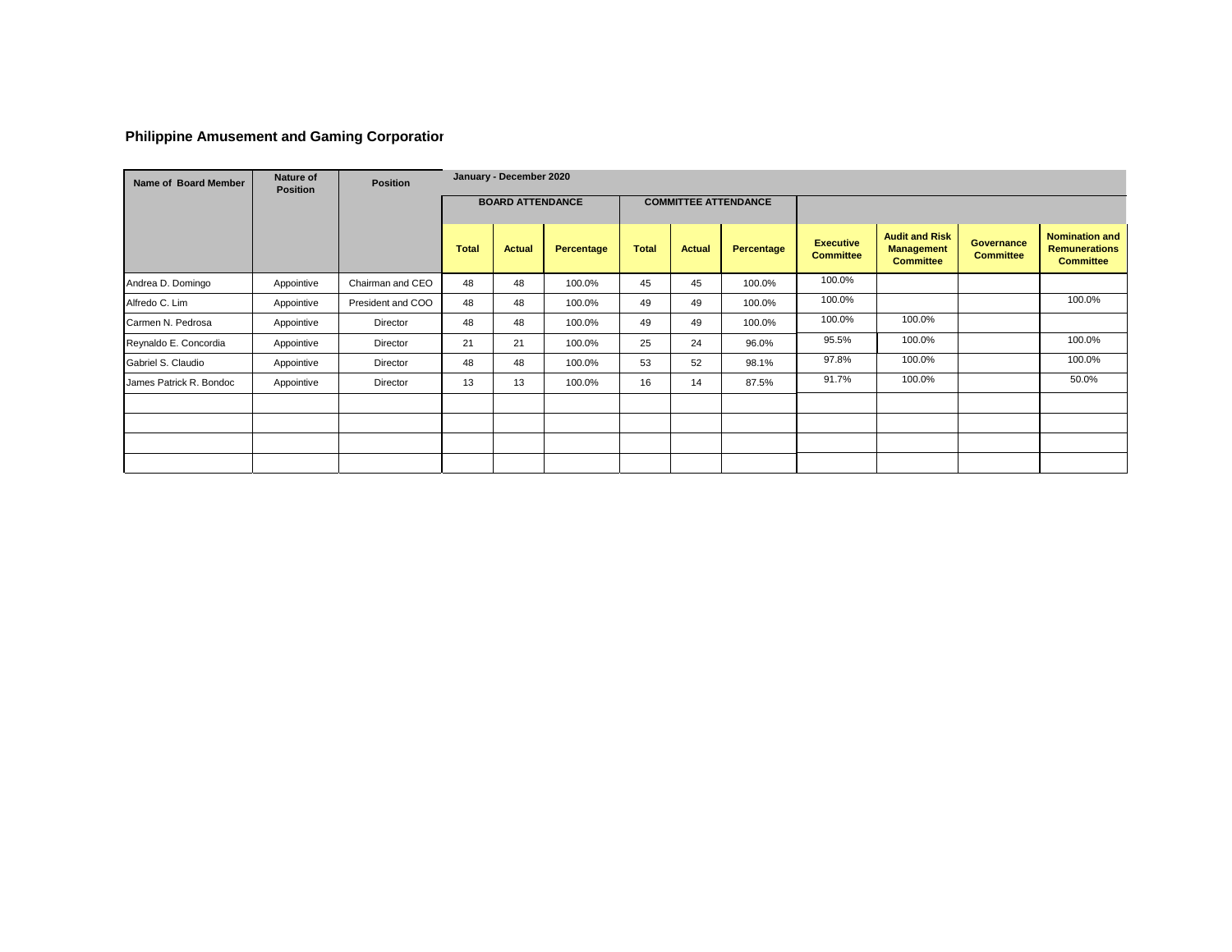# **Philippine Amusement and Gaming Corporation**

| Name of Board Member    | Nature of<br><b>Position</b> | <b>Position</b>   |              | January - December 2020 |            |              |               |                             |                                      |                                                                |                                       |                                                                   |
|-------------------------|------------------------------|-------------------|--------------|-------------------------|------------|--------------|---------------|-----------------------------|--------------------------------------|----------------------------------------------------------------|---------------------------------------|-------------------------------------------------------------------|
|                         |                              |                   |              | <b>BOARD ATTENDANCE</b> |            |              |               | <b>COMMITTEE ATTENDANCE</b> |                                      |                                                                |                                       |                                                                   |
|                         |                              |                   | <b>Total</b> | <b>Actual</b>           | Percentage | <b>Total</b> | <b>Actual</b> | Percentage                  | <b>Executive</b><br><b>Committee</b> | <b>Audit and Risk</b><br><b>Management</b><br><b>Committee</b> | <b>Governance</b><br><b>Committee</b> | <b>Nomination and</b><br><b>Remunerations</b><br><b>Committee</b> |
| Andrea D. Domingo       | Appointive                   | Chairman and CEO  | 48           | 48                      | 100.0%     | 45           | 45            | 100.0%                      | 100.0%                               |                                                                |                                       |                                                                   |
| Alfredo C. Lim          | Appointive                   | President and COO | 48           | 48                      | 100.0%     | 49           | 49            | 100.0%                      | 100.0%                               |                                                                |                                       | 100.0%                                                            |
| Carmen N. Pedrosa       | Appointive                   | Director          | 48           | 48                      | 100.0%     | 49           | 49            | 100.0%                      | 100.0%                               | 100.0%                                                         |                                       |                                                                   |
| Reynaldo E. Concordia   | Appointive                   | Director          | 21           | 21                      | 100.0%     | 25           | 24            | 96.0%                       | 95.5%                                | 100.0%                                                         |                                       | 100.0%                                                            |
| Gabriel S. Claudio      | Appointive                   | Director          | 48           | 48                      | 100.0%     | 53           | 52            | 98.1%                       | 97.8%                                | 100.0%                                                         |                                       | 100.0%                                                            |
| James Patrick R. Bondoc | Appointive                   | Director          | 13           | 13                      | 100.0%     | 16           | 14            | 87.5%                       | 91.7%                                | 100.0%                                                         |                                       | 50.0%                                                             |
|                         |                              |                   |              |                         |            |              |               |                             |                                      |                                                                |                                       |                                                                   |
|                         |                              |                   |              |                         |            |              |               |                             |                                      |                                                                |                                       |                                                                   |
|                         |                              |                   |              |                         |            |              |               |                             |                                      |                                                                |                                       |                                                                   |
|                         |                              |                   |              |                         |            |              |               |                             |                                      |                                                                |                                       |                                                                   |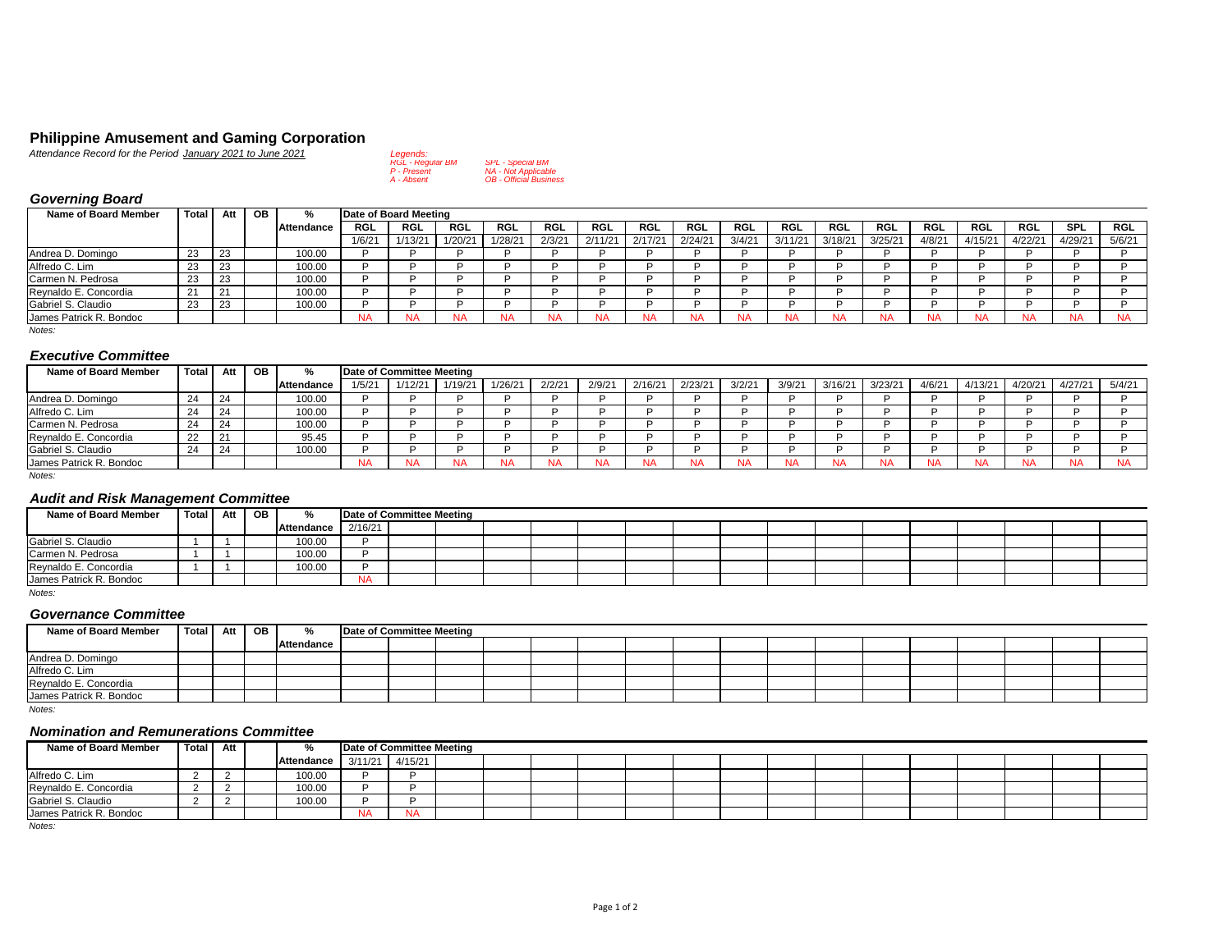#### **Philippine Amusement and Gaming Corporation**

*Attendance Record for the Period January 2021 to June 2021 Legends:* RGL P *RGL - Regular BM SPL - Special BM*

| RGL - Reaular BM<br><b>SPL - Special BM</b> |
|---------------------------------------------|
|                                             |
| NA - Not Applicable                         |
| <b>OB</b> - Official Business               |
|                                             |

# *Governing Board*

| <b>Name of Board Member</b> | <b>Total</b> | Att | OB | %          |            | Date of Board Meeting |            |           |            |            |            |           |        |         |           |            |           |            |         |            |           |
|-----------------------------|--------------|-----|----|------------|------------|-----------------------|------------|-----------|------------|------------|------------|-----------|--------|---------|-----------|------------|-----------|------------|---------|------------|-----------|
|                             |              |     |    | Attendance | <b>RGL</b> | <b>RGL</b>            | <b>RGL</b> | RGL       | <b>RGL</b> | <b>RGL</b> | <b>RGL</b> | RGL       | RGL    | RGL     | RGL       | <b>RGL</b> | RGL       | <b>RGL</b> | RGL     | <b>SPL</b> | RGL       |
|                             |              |     |    |            | 1/6/2      | 1/13/21               | 1/20/21    | 1/28/21   | 2/3/21     | 2/11/21    | 2/17/21    | 2/24/21   | 3/4/21 | 3/11/21 | 3/18/21   | 3/25/21    | 4/8/2     | 4/15/21    | 4/22/2' | 4/29/21    | 5/6/21    |
| Andrea D. Domingo           | 23           | 23  |    | 100.00     |            |                       |            |           |            |            |            |           |        |         |           |            |           |            |         |            |           |
| Alfredo C. Lim              | 23           | 23  |    | 100.00     |            |                       |            |           |            |            |            |           |        |         |           |            |           |            |         |            |           |
| Carmen N. Pedrosa           | 23           | 23  |    | 100.00     |            |                       |            |           |            |            |            |           |        |         |           |            |           |            |         |            |           |
| Reynaldo E. Concordia       | $\Omega$     | 21  |    | 100.00     |            |                       |            |           |            |            |            |           |        |         |           |            |           |            |         |            |           |
| Gabriel S. Claudio          | 23           | 23  |    | 100.00     |            |                       |            |           |            |            |            |           |        |         |           |            |           |            |         |            |           |
| James Patrick R. Bondoc     |              |     |    |            | ΝA         |                       | NA         | <b>NA</b> | <b>NA</b>  | <b>NA</b>  | <b>NA</b>  | <b>NA</b> |        |         | <b>NA</b> | <b>NA</b>  | <b>NA</b> | NA         | NA      | <b>NA</b>  | <b>NA</b> |
| Notes:                      |              |     |    |            |            |                       |            |           |            |            |            |           |        |         |           |            |           |            |         |            |           |

## *Executive Committee*

| <b>Name of Board Member</b> | Total | Att | OB | %          |           | Date of Committee Meeting |        |           |        |        |         |           |        |        |           |         |           |         |         |         |        |
|-----------------------------|-------|-----|----|------------|-----------|---------------------------|--------|-----------|--------|--------|---------|-----------|--------|--------|-----------|---------|-----------|---------|---------|---------|--------|
|                             |       |     |    | Attendance | 1/5/2     | 1/12/21                   | 1/19/2 | 1/26/21   | 2/2/21 | 2/9/21 | 2/16/21 | 2/23/2'   | 3/2/21 | 3/9/21 | 3/16/2'   | 3/23/21 | 4/6/21    | 4/13/21 | 4/20/21 | 4/27/21 | 5/4/21 |
| Andrea D. Domingo           | 24    | 24  |    | 100.00     |           |                           |        |           |        |        |         |           |        |        |           |         |           |         |         |         |        |
| Alfredo C. Lim              | 24    | 24  |    | 100.00     |           |                           |        |           |        |        |         |           |        |        |           |         |           |         |         |         |        |
| Carmen N. Pedrosa           | 24    | -24 |    | 100.00     |           |                           |        |           |        |        |         |           |        |        |           |         |           |         |         |         |        |
| Reynaldo E. Concordia       | 22    | 21  |    | 95.45      |           |                           |        |           |        |        |         |           |        |        |           |         |           |         |         |         |        |
| Gabriel S. Claudio          | 24    | 24  |    | 100.00     |           |                           |        |           |        |        |         |           |        |        |           |         |           |         |         |         |        |
| James Patrick R. Bondoc     |       |     |    |            | <b>NA</b> |                           |        | <b>NA</b> |        |        |         | <b>NA</b> |        |        | <b>NA</b> |         | <b>NA</b> |         |         | NA      | NA     |

*Notes:*

# *Audit and Risk Management Committee*

| Name of Board Member    | Total Att OB |  | $O_{\alpha}$       | Date of Committee Meeting |  |  |  |  |  |  |  |  |
|-------------------------|--------------|--|--------------------|---------------------------|--|--|--|--|--|--|--|--|
|                         |              |  | Attendance 2/16/21 |                           |  |  |  |  |  |  |  |  |
| Gabriel S. Claudio      |              |  | 100.00             |                           |  |  |  |  |  |  |  |  |
| Carmen N. Pedrosa       |              |  | 100.00             |                           |  |  |  |  |  |  |  |  |
| Reynaldo E. Concordia   |              |  | 100.00             |                           |  |  |  |  |  |  |  |  |
| James Patrick R. Bondoc |              |  |                    | <b>NA</b>                 |  |  |  |  |  |  |  |  |

*Notes:*

#### *Governance Committee*

| <b>Name of Board Member</b> | Total Att OB |  | $\mathbf{O}$ | Date of Committee Meeting |  |  |  |  |  |  |  |  |
|-----------------------------|--------------|--|--------------|---------------------------|--|--|--|--|--|--|--|--|
|                             |              |  | Attendance   |                           |  |  |  |  |  |  |  |  |
| Andrea D. Domingo           |              |  |              |                           |  |  |  |  |  |  |  |  |
| Alfredo C. Lim              |              |  |              |                           |  |  |  |  |  |  |  |  |
| Reynaldo E. Concordia       |              |  |              |                           |  |  |  |  |  |  |  |  |
| James Patrick R. Bondoc     |              |  |              |                           |  |  |  |  |  |  |  |  |

*Notes:*

#### *Nomination and Remunerations Committee*

| Name of Board Member    | Total Att I |   | O/2        | Date of Committee Meeting |           |  |  |  |  |  |  |  |  |
|-------------------------|-------------|---|------------|---------------------------|-----------|--|--|--|--|--|--|--|--|
|                         |             |   | Attendance | 3/11/21                   | 4/15/21   |  |  |  |  |  |  |  |  |
| Alfredo C. Lim          |             | - | 100.00     |                           |           |  |  |  |  |  |  |  |  |
| Reynaldo E. Concordia   |             |   | 100.00     |                           |           |  |  |  |  |  |  |  |  |
| Gabriel S. Claudio      |             |   | 100.00     |                           |           |  |  |  |  |  |  |  |  |
| James Patrick R. Bondoc |             |   |            | <b>NA</b>                 | <b>NA</b> |  |  |  |  |  |  |  |  |

*Notes:*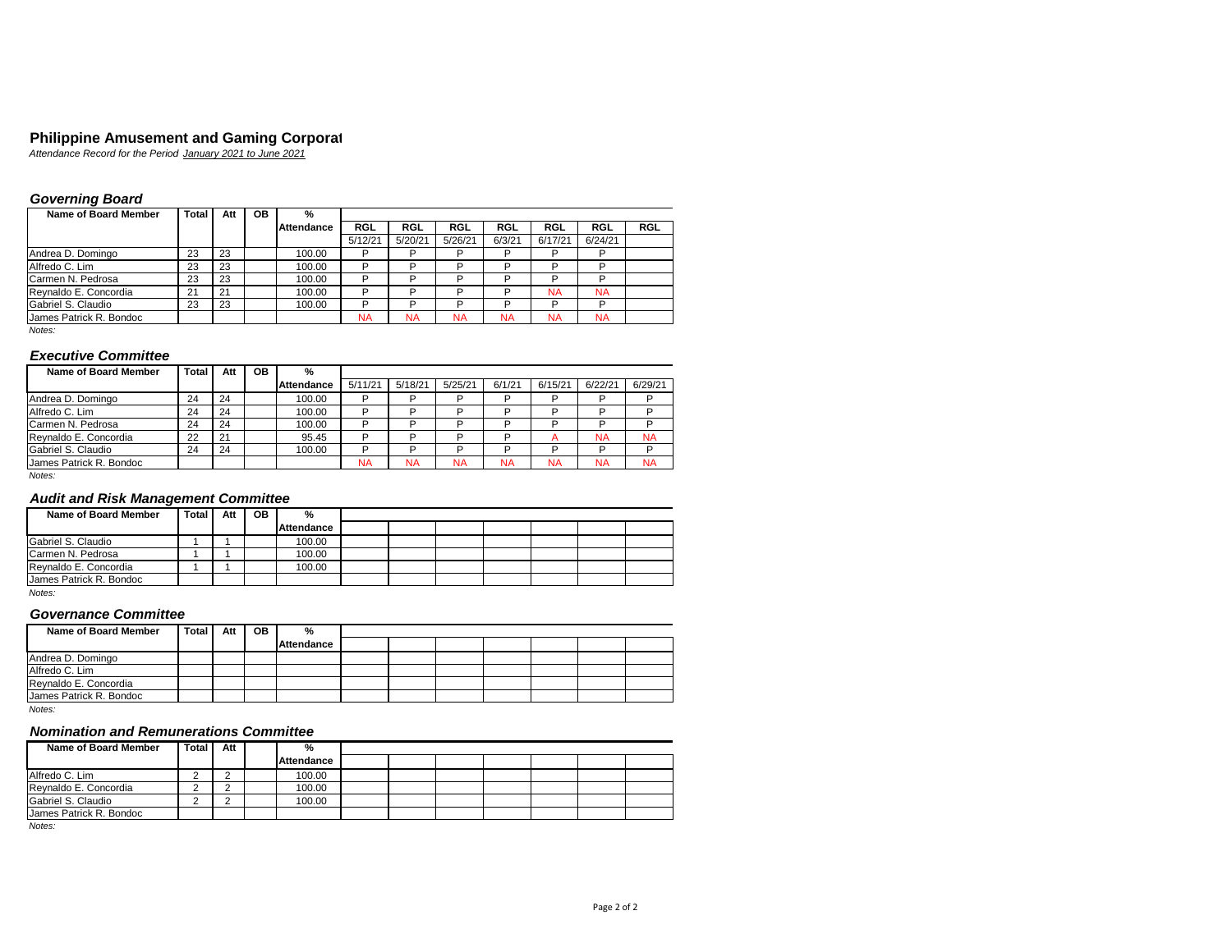#### **Philippine Amusement and Gaming Corporat**

*Attendance Record for the Period January 2021 to June 2021* RGL P

# *Governing Board*

| Name of Board Member    | Total | Att | <b>OB</b> | %          |            |            |            |           |           |         |            |
|-------------------------|-------|-----|-----------|------------|------------|------------|------------|-----------|-----------|---------|------------|
|                         |       |     |           | Attendance | <b>RGL</b> | <b>RGL</b> | <b>RGL</b> | RGL       | RGL       | RGL     | <b>RGL</b> |
|                         |       |     |           |            | 5/12/21    | 5/20/21    | 5/26/21    | 6/3/21    | 6/17/21   | 6/24/21 |            |
| Andrea D. Domingo       | 23    | 23  |           | 100.00     | D          | D          | D          | D         |           | D       |            |
| Alfredo C. Lim          | 23    | 23  |           | 100.00     | D          | D          | D          | D         |           | D       |            |
| Carmen N. Pedrosa       | 23    | 23  |           | 100.00     | D          | D          | D          | D         | ח         | D       |            |
| Revnaldo E. Concordia   | 21    | 21  |           | 100.00     | D          | D          | D          | D         | <b>NA</b> | NA      |            |
| Gabriel S. Claudio      | 23    | 23  |           | 100.00     | D          | D          | D          | D         | ה         | D       |            |
| James Patrick R. Bondoc |       |     |           |            | <b>NA</b>  | <b>NA</b>  | <b>NA</b>  | <b>NA</b> | <b>NA</b> | NA      |            |
| $\cdots$                |       |     |           |            |            |            |            |           |           |         |            |

#### *Notes:*

# *Executive Committee*

| Name of Board Member    | Total | Att | <b>OB</b> | $\frac{9}{6}$ |           |           |           |           |              |           |           |
|-------------------------|-------|-----|-----------|---------------|-----------|-----------|-----------|-----------|--------------|-----------|-----------|
|                         |       |     |           | Attendance    | 5/11/21   | 5/18/21   | 5/25/21   | 6/1/21    | 6/15/21      | 6/22/21   | 6/29/21   |
| Andrea D. Domingo       | 24    | 24  |           | 100.00        | D         | D         | D         | D         | D            | D         | D         |
| Alfredo C. Lim          | 24    | 24  |           | 100.00        | D         | D         | D         | D         | D            | D         | D         |
| Carmen N. Pedrosa       | 24    | 24  |           | 100.00        | D         | D         | D         | D         | D            | D         |           |
| Revnaldo E. Concordia   | 22    | 21  |           | 95.45         | D         | D         | D         | D         | $\mathsf{A}$ | <b>NA</b> | <b>NA</b> |
| Gabriel S. Claudio      | 24    | 24  |           | 100.00        | D         | D         | D         | D         | D            | D         | D         |
| James Patrick R. Bondoc |       |     |           |               | <b>NA</b> | <b>NA</b> | <b>NA</b> | <b>NA</b> | <b>NA</b>    | <b>NA</b> | <b>NA</b> |

*Notes:*

## *Audit and Risk Management Committee*

| Name of Board Member    | Total I | Att | OВ | %          |  |  |  |  |
|-------------------------|---------|-----|----|------------|--|--|--|--|
|                         |         |     |    | Attendance |  |  |  |  |
| Gabriel S. Claudio      |         |     |    | 100.00     |  |  |  |  |
| Carmen N. Pedrosa       |         |     |    | 100.00     |  |  |  |  |
| Revnaldo E. Concordia   |         |     |    | 100.00     |  |  |  |  |
| James Patrick R. Bondoc |         |     |    |            |  |  |  |  |

*Notes:*

#### *Governance Committee*

| Name of Board Member    | Total I | Att | <b>OB</b> | %          |  |  |  |  |
|-------------------------|---------|-----|-----------|------------|--|--|--|--|
|                         |         |     |           | Attendance |  |  |  |  |
| Andrea D. Domingo       |         |     |           |            |  |  |  |  |
| Alfredo C. Lim          |         |     |           |            |  |  |  |  |
| Revnaldo E. Concordia   |         |     |           |            |  |  |  |  |
| James Patrick R. Bondoc |         |     |           |            |  |  |  |  |

*Notes:*

#### *Nomination and Remunerations Committee*

| Name of Board Member    | Total | Att | %          |  |  |  |  |
|-------------------------|-------|-----|------------|--|--|--|--|
|                         |       |     | Attendance |  |  |  |  |
| Alfredo C. Lim          |       |     | 100.00     |  |  |  |  |
| Reynaldo E. Concordia   |       |     | 100.00     |  |  |  |  |
| Gabriel S. Claudio      |       |     | 100.00     |  |  |  |  |
| James Patrick R. Bondoc |       |     |            |  |  |  |  |

*Notes:*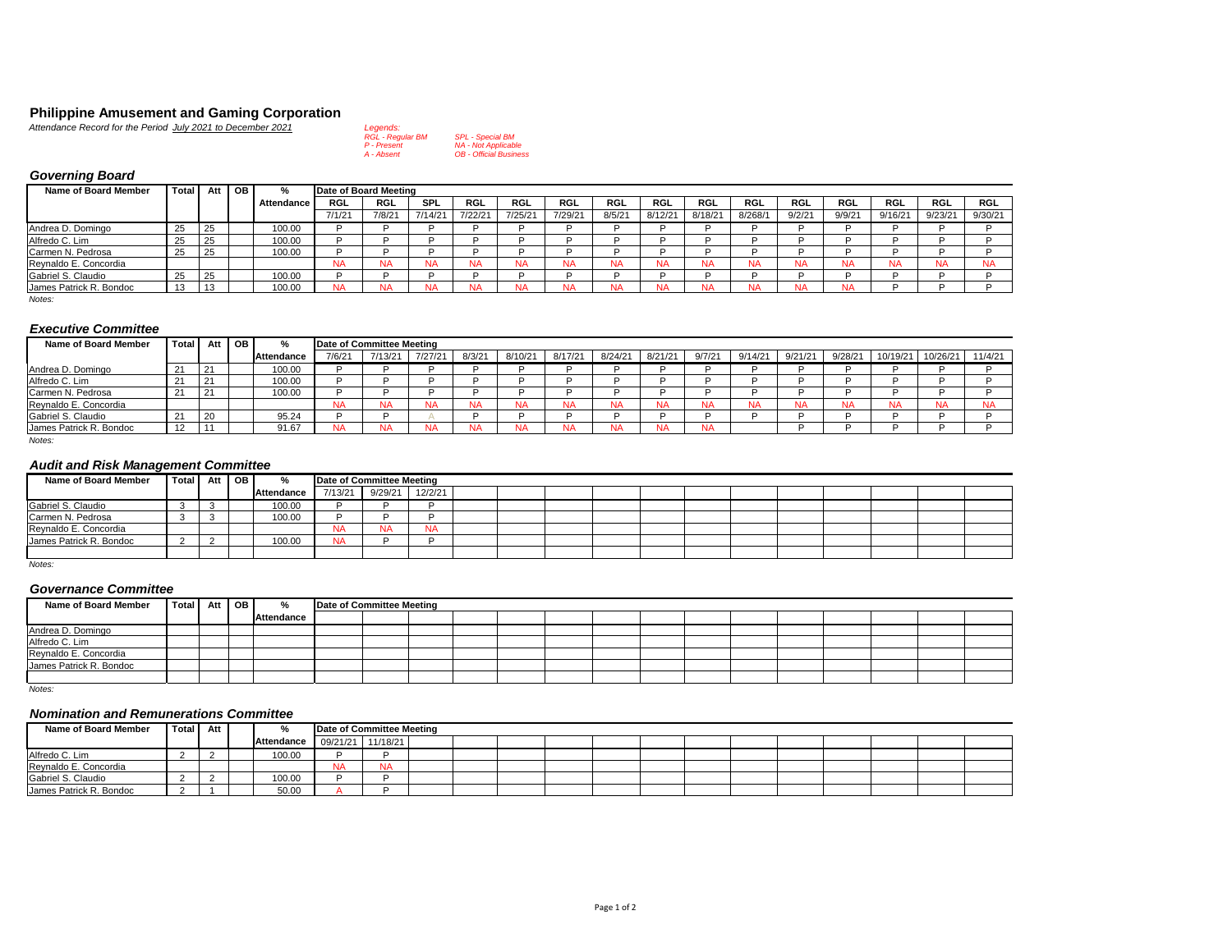# **Philippine Amusement and Gaming Corporation**<br> *Attendance Record for the Period July 2021 to December 2021 Legends:*<br> *RGL - Regular BM SPL - Special BM*

| <i>V21 to December 2021</i> | Leaenas:                |                               |
|-----------------------------|-------------------------|-------------------------------|
|                             | <b>RGL - Regular BM</b> | <b>SPL - Special BM</b>       |
|                             | P - Present             | <b>NA - Not Applicable</b>    |
|                             | A - Absent              | <b>OB</b> - Official Business |
|                             |                         |                               |

# *Governing Board*

| Name of Board Member                            | <b>Total</b> | Att              | <b>OB</b> | %            | Date of Board Meeting |       |            |            |           |         |        |         |           |            |        |           |            |           |            |
|-------------------------------------------------|--------------|------------------|-----------|--------------|-----------------------|-------|------------|------------|-----------|---------|--------|---------|-----------|------------|--------|-----------|------------|-----------|------------|
|                                                 |              |                  |           | Attendance I | RGL                   | RGL   | <b>SPL</b> | <b>RGL</b> | RGL       | RGL     | RGL    | RGL     | RGL       | <b>RGL</b> | RGL    | RGL       | <b>RGL</b> | RGL       | <b>RGL</b> |
|                                                 |              |                  |           |              | 7/1/21                | 7/8/2 | 7/14/21    | 7/22/21    | 7/25/21   | 7/29/21 | 8/5/21 | 8/12/21 | 8/18/21   | 8/268/1    | 9/2/21 | 9/9/21    | 9/16/21    | 9/23/21   | 9/30/21    |
| Andrea D. Domingo                               | 25           | 25               |           | 100.00       |                       |       |            |            |           |         |        |         |           |            |        |           |            |           |            |
| Alfredo C. Lim                                  | -25          | 25               |           | 100.00       |                       |       |            |            |           |         |        |         |           |            |        |           |            |           |            |
| Carmen N. Pedrosa                               | 25           | 25               |           | 100.00       |                       |       |            |            |           |         |        |         |           |            |        |           |            |           |            |
| Reynaldo E. Concordia                           |              |                  |           |              | <b>NA</b>             |       | <b>NA</b>  | <b>NA</b>  | <b>NA</b> | NΑ      |        | NA      | <b>NA</b> |            |        | <b>NA</b> | <b>NA</b>  | <b>NA</b> |            |
| Gabriel S. Claudio                              | 25           | 25               |           | 100.00       |                       |       |            |            |           |         |        |         |           |            |        |           | ה          |           |            |
| James Patrick R. Bondoc<br>$\sim$ $\sim$ $\sim$ |              | $\sqrt{2}$<br>10 |           | 100.00       | <b>NA</b>             |       | <b>NA</b>  | <b>NA</b>  |           |         |        | NA      | <b>NA</b> |            |        | <b>NA</b> | n.         |           |            |

*Notes:*

#### *Executive Committee*

| _______________________ |              |     |      |                   |                           |        |         |           |        |         |           |           |        |         |           |           |           |          |         |
|-------------------------|--------------|-----|------|-------------------|---------------------------|--------|---------|-----------|--------|---------|-----------|-----------|--------|---------|-----------|-----------|-----------|----------|---------|
| Name of Board Member    | <b>Total</b> | Att | OB I | ℀                 | Date of Committee Meeting |        |         |           |        |         |           |           |        |         |           |           |           |          |         |
|                         |              |     |      | <b>Attendance</b> | 7/6/21                    | 7/13/2 | 7/27/21 | 8/3/21    | 8/10/2 | 8/17/21 | 8/24/21   | 8/21/21   | 9/7/21 | 9/14/21 | 9/21/21   | 9/28/2    | 10/19/21  | 10/26/21 | 11/4/21 |
| Andrea D. Domingo       |              | 21  |      | 100.00            |                           |        |         |           |        |         |           |           |        |         |           |           |           |          |         |
| Alfredo C. Lim          |              | 21  |      | 100.00            |                           |        |         |           |        |         |           |           |        |         |           |           |           |          |         |
| Carmen N. Pedrosa       | 21           | 21  |      | 100.00            |                           |        |         |           |        |         |           |           |        |         |           |           |           |          |         |
| Reynaldo E. Concordia   |              |     |      |                   | NA                        | NA     | NA      | <b>NA</b> |        | NA      | <b>NA</b> | <b>NA</b> | NA     |         | <b>NA</b> | <b>NA</b> | <b>NA</b> |          |         |
| Gabriel S. Claudio      |              | 20  |      | 95.24             |                           |        |         |           |        |         |           |           |        |         |           |           |           |          |         |
| James Patrick R. Bondoc | - 1          |     |      | 91.67             | NA                        | NA     | NA      | NA        |        | NA      | NA        | NA        | NA     |         |           |           |           |          |         |

*Notes:*

## *Audit and Risk Management Committee*

| Name of Board Member    | Total Att OB |  | %          | Date of Committee Meeting |           |           |  |  |  |  |  |  |
|-------------------------|--------------|--|------------|---------------------------|-----------|-----------|--|--|--|--|--|--|
|                         |              |  | Attendance | 7/13/21                   | 9/29/21   | 12/2/21   |  |  |  |  |  |  |
| Gabriel S. Claudio      |              |  | 100.00     |                           |           |           |  |  |  |  |  |  |
| Carmen N. Pedrosa       |              |  | 100.00     |                           |           |           |  |  |  |  |  |  |
| Reynaldo E. Concordia   |              |  |            | <b>NA</b>                 | <b>NA</b> | <b>NA</b> |  |  |  |  |  |  |
| James Patrick R. Bondoc |              |  | 100.00     | <b>NA</b>                 |           |           |  |  |  |  |  |  |
|                         |              |  |            |                           |           |           |  |  |  |  |  |  |

*Notes:*

#### *Governance Committee*

| Name of Board Member    | Total Att OB |  | %                 | Date of Committee Meeting |  |  |  |  |  |  |  |
|-------------------------|--------------|--|-------------------|---------------------------|--|--|--|--|--|--|--|
|                         |              |  | <b>Attendance</b> |                           |  |  |  |  |  |  |  |
| Andrea D. Domingo       |              |  |                   |                           |  |  |  |  |  |  |  |
| Alfredo C. Lim          |              |  |                   |                           |  |  |  |  |  |  |  |
| Reynaldo E. Concordia   |              |  |                   |                           |  |  |  |  |  |  |  |
| James Patrick R. Bondoc |              |  |                   |                           |  |  |  |  |  |  |  |
|                         |              |  |                   |                           |  |  |  |  |  |  |  |

*Notes:*

#### *Nomination and Remunerations Committee*

| Name of Board Member    | Total Att |  |                              | Date of Committee Meeting |           |  |  |  |  |  |  |  |
|-------------------------|-----------|--|------------------------------|---------------------------|-----------|--|--|--|--|--|--|--|
|                         |           |  | Attendance 09/21/21 11/18/21 |                           |           |  |  |  |  |  |  |  |
| Alfredo C. Lim          |           |  | 100.00                       |                           |           |  |  |  |  |  |  |  |
| Reynaldo E. Concordia   |           |  |                              | NA                        | <b>NA</b> |  |  |  |  |  |  |  |
| Gabriel S. Claudio      |           |  | 100.00                       |                           |           |  |  |  |  |  |  |  |
| James Patrick R. Bondoc |           |  | 50.00                        |                           |           |  |  |  |  |  |  |  |